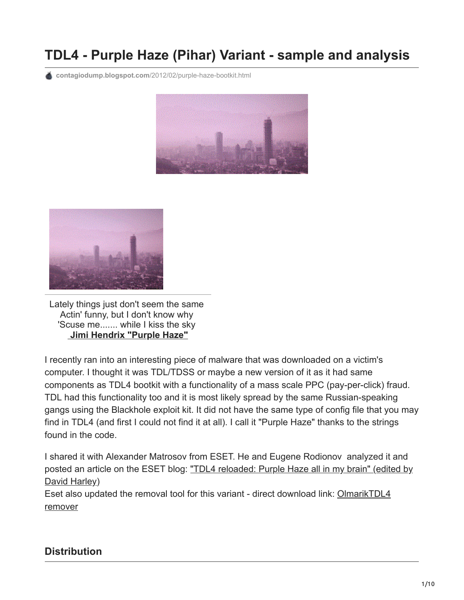# **TDL4 - Purple Haze (Pihar) Variant - sample and analysis**

**contagiodump.blogspot.com**[/2012/02/purple-haze-bootkit.html](http://contagiodump.blogspot.com/2012/02/purple-haze-bootkit.html)





Lately things just don't seem the same Actin' funny, but I don't know why 'Scuse me....... while I kiss the sky  **[Jimi Hendrix "Purple Haze"](http://www.youtube.com/watch?v=XZ26U1coNkg)**

I recently ran into an interesting piece of malware that was downloaded on a victim's computer. I thought it was TDL/TDSS or maybe a new version of it as it had same components as TDL4 bootkit with a functionality of a mass scale PPC (pay-per-click) fraud. TDL had this functionality too and it is most likely spread by the same Russian-speaking gangs using the Blackhole exploit kit. It did not have the same type of config file that you may find in TDL4 (and first I could not find it at all). I call it "Purple Haze" thanks to the strings found in the code.

I shared it with Alexander Matrosov from ESET. He and Eugene Rodionov analyzed it and [posted an article on the ESET blog: "TDL4 reloaded: Purple Haze all in my brain" \(edited by](http://blog.eset.com/2012/02/02/tdl4-reloaded-purple-haze-all-in-my-brain) David Harley)

[Eset also updated the removal tool for this variant - direct download link: OlmarikTDL4](http://download.eset.com/special/EOlmarikTdl4Cleaner.exe) remover

### **Distribution**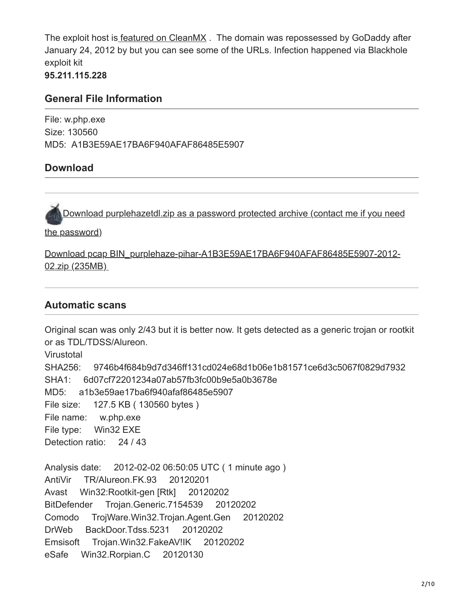The exploit host is [featured on CleanMX](http://support.clean-mx.de/clean-mx/viruses.php?ip=95.211.115.228&sort=id%20desc) . The domain was repossessed by GoDaddy after January 24, 2012 by but you can see some of the URLs. Infection happened via Blackhole exploit kit **95.211.115.228**

#### **General File Information**

File: w.php.exe Size: 130560 MD5: A1B3E59AE17BA6F940AFAF86485E5907

### **Download**

[Download purplehazetdl.zip as a password protected archive \(contact me if you need](https://www.dropbox.com/s/a4fmzjyonzvlkep/purplehazetdl.zip?dl=0)

the password)

[Download pcap BIN\\_purplehaze-pihar-A1B3E59AE17BA6F940AFAF86485E5907-2012-](https://www.dropbox.com/s/kfz8mc272vc192i/BIN_purplehaze-pihar-A1B3E59AE17BA6F940AFAF86485E5907-2012-02.zip?dl=0) 02.zip (235MB)

### **Automatic scans**

Original scan was only 2/43 but it is better now. It gets detected as a generic trojan or rootkit or as TDL/TDSS/Alureon. Virustotal SHA256: 9746b4f684b9d7d346ff131cd024e68d1b06e1b81571ce6d3c5067f0829d7932 SHA1: 6d07cf72201234a07ab57fb3fc00b9e5a0b3678e MD5: a1b3e59ae17ba6f940afaf86485e5907 File size: 127.5 KB ( 130560 bytes ) File name: w.php.exe File type: Win32 EXE Detection ratio: 24 / 43

Analysis date: 2012-02-02 06:50:05 UTC ( 1 minute ago ) AntiVir TR/Alureon.FK.93 20120201 Avast Win32:Rootkit-gen [Rtk] 20120202 BitDefender Trojan.Generic.7154539 20120202 Comodo TrojWare.Win32.Trojan.Agent.Gen 20120202 DrWeb BackDoor.Tdss.5231 20120202 Emsisoft Trojan.Win32.FakeAV!IK 20120202 eSafe Win32.Rorpian.C 20120130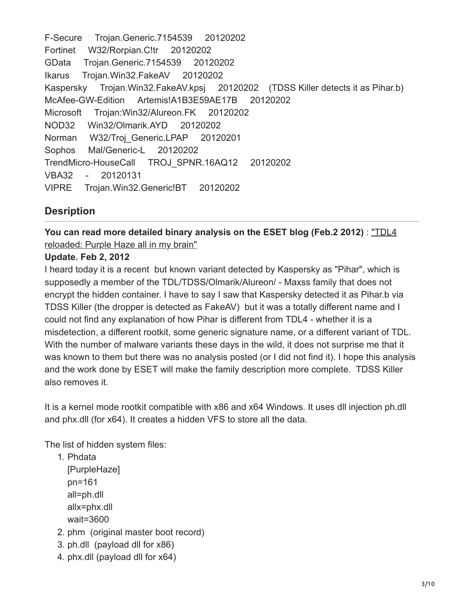F-Secure Trojan.Generic.7154539 20120202 Fortinet W32/Rorpian.C!tr 20120202 GData Trojan.Generic.7154539 20120202 Ikarus Trojan.Win32.FakeAV 20120202 Kaspersky Trojan.Win32.FakeAV.kpsj 20120202 (TDSS Killer detects it as Pihar.b) McAfee-GW-Edition Artemis!A1B3E59AE17B 20120202 Microsoft Trojan:Win32/Alureon.FK 20120202 NOD32 Win32/Olmarik.AYD 20120202 Norman W32/Troj\_Generic.LPAP 20120201 Sophos Mal/Generic-L 20120202 TrendMicro-HouseCall TROJ\_SPNR.16AQ12 20120202 VBA32 - 20120131 VIPRE Trojan.Win32.Generic!BT 20120202

## **Desription**

**[You can read more detailed binary analysis on the ESET blog \(Feb.2 2012\)](http://blog.eset.com/2012/02/02/tdl4-reloaded-purple-haze-all-in-my-brain)** : "TDL4 reloaded: Purple Haze all in my brain"

### **Update. Feb 2, 2012**

I heard today it is a recent but known variant detected by Kaspersky as "Pihar", which is supposedly a member of the TDL/TDSS/Olmarik/Alureon/ - Maxss family that does not encrypt the hidden container. I have to say I saw that Kaspersky detected it as Pihar.b via TDSS Killer (the dropper is detected as FakeAV) but it was a totally different name and I could not find any explanation of how Pihar is different from TDL4 - whether it is a misdetection, a different rootkit, some generic signature name, or a different variant of TDL. With the number of malware variants these days in the wild, it does not surprise me that it was known to them but there was no analysis posted (or I did not find it). I hope this analysis and the work done by ESET will make the family description more complete. TDSS Killer also removes it.

It is a kernel mode rootkit compatible with x86 and x64 Windows. It uses dll injection ph.dll and phx.dll (for x64). It creates a hidden VFS to store all the data.

The list of hidden system files:

- 1. Phdata [PurpleHaze] pn=161 all=ph.dll allx=phx.dll wait=3600
- 2. phm (original master boot record)
- 3. ph.dll (payload dll for x86)
- 4. phx.dll (payload dll for x64)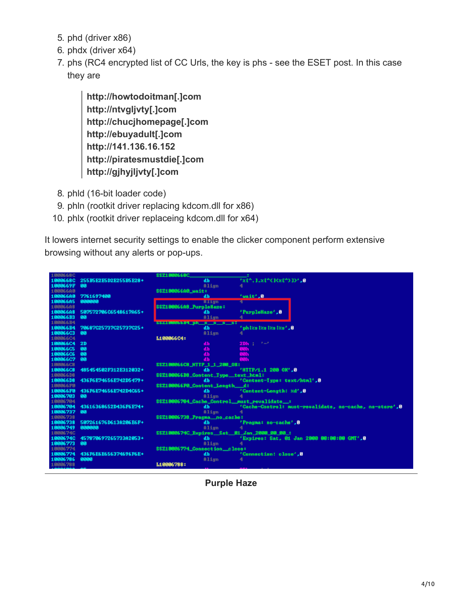- 5. phd (driver x86)
- 6. phdx (driver x64)
- 7. phs (RC4 encrypted list of CC Urls, the key is phs see the ESET post. In this case they are

**http://howtodoitman[.]com http://ntvgljvty[.]com http://chucjhomepage[.]com http://ebuyadult[.]com http://141.136.16.152 http://piratesmustdie[.]com http://gjhyjljvty[.]com**

- 8. phld (16-bit loader code)
- 9. phln (rootkit driver replacing kdcom.dll for x86)
- 10. phlx (rootkit driver replaceing kdcom.dll for x64)

It lowers internet security settings to enable the clicker component perform extensive browsing without any alerts or pop-ups.

| 1000668C             |                              | SSZ1000668C                                  |                                                         |
|----------------------|------------------------------|----------------------------------------------|---------------------------------------------------------|
| <b>1000668C</b>      | 255B5E2E5D2E255B5E28+        | dЬ                                           | "x[^.].x[^C] <x[^)]}',0< th=""></x[^)]}',0<>            |
| 1000669F             | 80                           | Align                                        | 4.                                                      |
| 10006600             |                              | 88Z100066A0_wait:                            |                                                         |
| 100066A0             | 7761697480                   | dЪ                                           | 'uait'.0                                                |
| 100066A5             | 888888                       | <b>Align</b>                                 | Ŧ                                                       |
| 10006608             |                              | SSZ100066A8_PurpleHaze:                      |                                                         |
| 100066A8             | 50757270606548617A65+        | db                                           | 'PurpleHaze'.0                                          |
| 100066B3<br>100066B4 | 88                           | Alism                                        |                                                         |
| 100066B4             |                              | SSZ1000bb#4_ph_s_s_s_s:<br>dЬ                |                                                         |
| 100066C3             | 70687C25737C25737C25+<br>-80 | Align                                        | 'phixsixsixsixs'.0<br>4                                 |
| 100066C4             |                              | L100066C4:                                   |                                                         |
| 10006604             | 2D                           | dh                                           | $2Dh: '='$                                              |
| <b>100066CS</b>      | 80                           | dh                                           | <b>881</b>                                              |
| 100066C6             | 80                           | dh                                           | 88h                                                     |
| 100066C7             | 80                           | dh                                           | <b>981</b>                                              |
| <b>100066C8</b>      |                              | SSZ100066C8_HTTP_1_1_200_0K:                 |                                                         |
| <b>100066C8</b>      | 485454502F312E312032+        | dЬ                                           | 'HITP/1.1 200 OK'.0                                     |
| 100066D8             |                              | SSZ100066D8_Content_Type__text_html:         |                                                         |
| 100066D8             | 436F6E74656E742D5479+        | dh.                                          | 'Content-Iype: text/html',0                             |
| 100066F0             |                              | SSZ100066F0_Content_Length d:                |                                                         |
| 100066F0             | 436F6E74656E742D4C65+        | dЬ                                           | 'Content-Length: xd', 0                                 |
| 10006703             | 80                           | Alisn                                        |                                                         |
| 10006704             |                              | SSZ10006704_Cache_Control_must_revalidate__= |                                                         |
| 10006704             | 43616368652D436F6E74+        | dЪ                                           | 'Cache-Control: must-revalidate, no-cache, no-store', 0 |
| 10006737<br>10006738 | 80                           | Align                                        |                                                         |
| 10006738             | 507261676D6130206E6F+        | \$\$210006738_Pragna_no_cache:<br>dЬ         | 'Pragma: no-cache'.0                                    |
| 10006749             | 888888                       | Align                                        | a                                                       |
| <b>1000674C</b>      |                              | SSZ1800674C Expires Sat 81 Jan 2000 00 00 :  |                                                         |
| 10006740             | 457878697265733A2053+        | dЬ                                           | 'Expires: Sat. 01 Jan 2000 08:00:00 GMT',0              |
| 10006773             | 80                           | Align                                        |                                                         |
| 10006774             |                              | SSZ10006774_Connection_close=                |                                                         |
| 10006774             | 436F6E6E656374696F6E+        | dЪ                                           | 'Connection: close'.0                                   |
| 10006786             | 8888                         | Align                                        | A.                                                      |
| 10006788             |                              | L10006788:                                   |                                                         |
|                      |                              |                                              |                                                         |

**Purple Haze**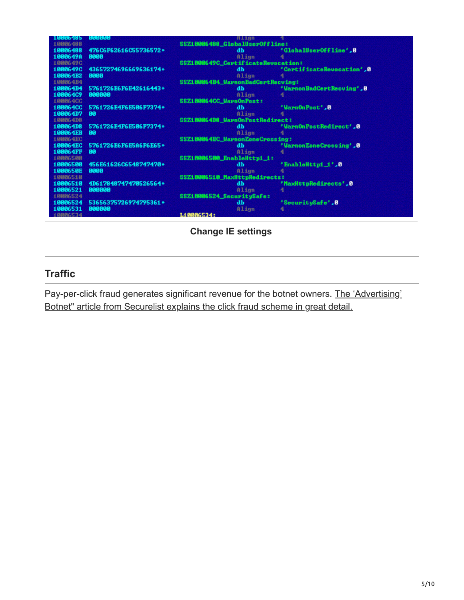

**Change IE settings**

## **Traffic**

[Pay-per-click fraud generates significant revenue for the botnet owners. The 'Advertising'](http://www.blogger.com/goog_1139841076) Botnet" article from [Securelist explains the click fraud scheme in great detail.](http://www.securelist.com/en/analysis/204792172/The_Advertising_Botnet#2)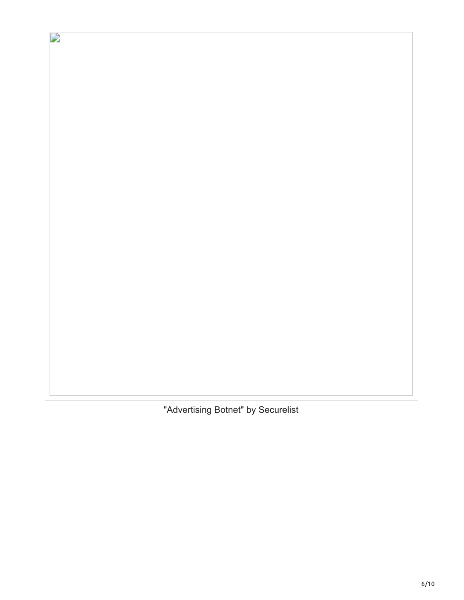"Advertising Botnet" by Securelist

 $\overline{\phantom{a}}$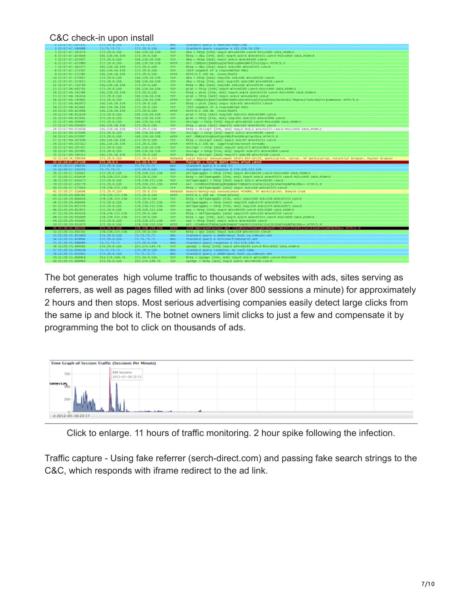#### C&C check-in upon install

| 2 22:17:47.284888                           | 75.75.75.75                      | 172, 29.0, 116                  | DAGS               | Standard query response A 141.136.16.158                                                                                  |
|---------------------------------------------|----------------------------------|---------------------------------|--------------------|---------------------------------------------------------------------------------------------------------------------------|
| 2 22:17:47.285176                           | 172.20.0.116                     | 141.176.16.156                  | TEP                | dka > http [SWS] Seq=0 win=64240 Len=0 MSS=1460 SACK_FERM=1                                                               |
| 4 22:17:47.423618                           | 141.136.16.156                   | 372, 29.0.116                   | TCP                | Trts > dka [SYN, ACK] Seg=0 Ack=1 Win=65335 Len=0 MSS=1460 SACK_PCRM=1                                                    |
| 5 22:17:47.420657                           | 172.29.0.116                     | 141.136.16.156                  | TCP.               | dka > http [ACK] Seq-1 Ack-1 Win-64240 Len-0                                                                              |
| 6 22 117 147 423980                         | 272, 29.0, 116                   | 141.136.16.156                  | <b>HTTP</b>        | GET /2dggvtcj480hsog5elNGksvpbKG0Wf2lcxI1g== HTTP/1.0                                                                     |
| 7 22:17:47.565273                           | 141.116.16.156                   | 172, 29.0, 116                  | <b>TCP</b>         | http > dkn [ACK] Seq=1 Ack=101 Win=65535 Len=0                                                                            |
| 8 22:17:47.572307                           | 141.136.16.156                   | 372.29.0.116                    | TOP.               | [TCP sequent of a reassembled PDU]                                                                                        |
| 9 22:17:47.572585                           | 141.156.16.156                   | 172, 29.0.116                   | <b>HTTP</b>        | HTTP/1.1 200 OK (text/html)                                                                                               |
| 10 22:17:47.572627                          | 172.29.0.116                     | 141.136.16.156                  | TCP                | dka > http [ACK] Seq=101 Ack=184 win=66058 Len=0                                                                          |
|                                             |                                  |                                 | TCP                |                                                                                                                           |
| 11 22:17:47.575117                          | 172, 29.0, 116<br>141.136.16.156 | 141.150.16.158<br>172.29.0.116  | TCP.               | dka > http [FIN, ACK] Seg=101 Ack=184 Win=64058 Len=0                                                                     |
| 12 22:17:47.711760                          |                                  |                                 |                    | http > dka [AEK] Seq-184 Ack-102 Win-65534 Len-0                                                                          |
| 13 22 17 148, 602793                        | 172, 29.0.116                    | 141.136.16.156                  | <b>TEP</b>         | prat > http [5YN] 56g=0 Win=64240 Len=0 MSS=1460 SACK_PERM=1                                                              |
| 14 22:17:48.745384                          | 141.116.16.156                   | 172.29.0.116                    | TCP.               | http > prat [SYN, ACK] Seq=0 Ack=1 Win=85535 Len=0 MSS=1460 SACK_PERM=1                                                   |
| 15 22:17:48.745454                          | 172.29.0.116                     | 141.136.16.156                  | <b>TCP</b>         | prat > http [ACK] seg-1 Ack-1 Win-64240 Len-0                                                                             |
| 16 22:17:48.745841                          | 172.29.0.116                     | 141.156.16.156                  | HTTP               | GET /2dQQvEcjAAY73aS8NFI0m9S+0PLrPl1vx0IfglyfEbuC0xrmTx1I/TbqPxej73uNL4QG7nfjcBm4uLw= HTTP/1.0                            |
| 17 22:17:48.902072                          | 141.136.16.156                   | 172.29.0.116                    | <b>TEP</b>         | http > prat [AEK] Seq=1 Ack=141 win=65535 Len=0                                                                           |
| 18 22:17:48.912041                          | 141.156.16.156                   | 172, 29.0, 116                  | TCP                | [TCP segment of a reassembled PDU]                                                                                        |
| 19 22:17:48.912096                          | 141.116.16.156                   | 172.29.0.116                    | <b>HTTP</b>        | HTTF/1.1 203 OK (text/html)                                                                                               |
| 20 22 117 48, 913149                        | 172, 29.0.116                    | 141.136.16.156                  | <b>TCP</b>         | prat > Rttp [ADK] 5eg=141 Adk=252 Win=63590 Len=0                                                                         |
| 21 22:17:48.913461                          | 172.29.0.116                     | 141.136.16.156                  | <b>TCP</b>         | prut > http [FIN, ACK] Seq=141 Ack=252 Win=61990 Len=0                                                                    |
| 22 22:17:48.920087                          | 172, 29.0.116                    | 141.136.16.156                  | TOP                | dssiapi > http [syn] seg=0 win=64240 Len=0 Mss=1460 SACK_PERM=1                                                           |
| 23 22:17:49.054824                          | 141.136.16.156                   | 172, 29.0, 116                  | TOP                | http > prat [ACK] Seq=252 Axle=142 Win=65534 Len=0                                                                        |
| 24 22:17:49.07165R                          | 141.136.16.156                   | 172.29.0.116                    | TEP                | http > dssiapi [syw, ack] seq=0 ack=3 win=65535 sen=0 wss=1460 sack_reme=1                                                |
| 25 22:17:49.071690                          | 172, 29.0, 116                   | 141.136.16.156                  | TCP                | distingt > http [ACK] Seg=1 Ack=1 Win=64240 Len=0                                                                         |
| 26.22:17:49.072057                          | 172.29.0.116                     | 141.116.16.156                  | <b>HTTP</b>        | GET /dbk1x31ngkuv63yct#bcfra568ran7ac20ca HTTP/1.0                                                                        |
| 27 22 17:49, 207190                         | 141.136.16.156                   | 172.29.0.110                    | TCP                | http > dssiapi [ACK] Seg-1 Ack=97 Win-65535 Len-0                                                                         |
| 28 22:17:49.207512                          | 141.136.16.156                   | 172.79.0.116                    | <b>NTTP</b>        | HTTP/1.1 200 OK (application/octet-atream)                                                                                |
| 29 22:17:49.207547                          | 172, 29.0, 116                   | 141.136.16.156                  | TOP.               | dssiapi > http [ACK] seg=97 Ack=373 win=63869 Len=0                                                                       |
|                                             |                                  | 241.136.16.156                  | TCP                |                                                                                                                           |
| 30 22:17:49.207905                          | 272, 29.0, 116                   |                                 |                    | thaispi > http [FIN, AEK] Seq=97 Ack=371 Win=63869 Len=0                                                                  |
|                                             |                                  |                                 |                    |                                                                                                                           |
| 31 22:17:49.344513                          | 141.136.16.156                   | 172.29.0.116                    | <b>TEP</b>         | http > dssiapi [ACK] seg=373 Ack=98 win=65534 Len=0                                                                       |
| 32 22:19:34.259346                          | 172, 29, 0, 116                  | 372, 29.0, 255                  |                    | BROWSER Local Master Announcement XPSP1-R93-DFC2D, Workstation, Server, NT Workstation, Potential Browser, Master Browser |
| 12 22:19:57.147236                          | 172.29.0.1                       | 172.29.0.116                    | TCP                | fuscript > icslap (RST) Seg=1 win=0 Len=0                                                                                 |
| 34 22:20:17.298192                          | 172, 29.0, 110                   | 75.75.75.75                     | DNS                | standard query A x-web, in-                                                                                               |
| 15 22:20:17.111255                          | 75.75.75.75                      | 172.29.0.116                    | <b>DAG</b>         | Standard query response A 178.218.211.156                                                                                 |
| 36-22120117.331642                          | 172, 29.0, 116                   | 178.238.233.156                 | TOP                | deliperappks > http [SYN] Seg=0 win=64240 Len=0 MSS=1460 SACK_FERM=1                                                      |
| 37 22:20:17.451434                          | 178.238.233.156                  | 172, 29.0, 116                  | TCP                | http:> delipwrappks [SYN, ACK] Seq=0 Ack=1 Win=65535 Len=0 MSS=1400 SACK_PERM=1                                           |
| 38 22:20:17.451473                          | 172.29.0.116                     | 178.238.233.156                 | TEP.               | delipwrappks > http [ACK] segid Ack=1 Win=64240 Len=0                                                                     |
| 39-22:20:17.451779                          | 172, 29.0, 116                   | 178.238.233.136                 | NTTP               | GET /YZxBHS42f02n2jqOMjRm0DF1YnNjOTc3YzFkZjLx2jk3ZGR1Njdef0E2M3- HTTP/1.0                                                 |
| 40 22:20:17.575616                          | 178.238.233.156                  | 572.29.0.516                    | TEP.               | http > dellpwrappks [ack] seg=1 Ack=218 win=65535 Len=0                                                                   |
| 41 22:20:27.216696                          | 172, 29.0, 116                   | 172, 29.0, 253                  | EROWSER            | Domain/Worlogroup Announcement MSHOME, NT Workstation, Domain Enum                                                        |
| 42 22:20:29.806382                          | 178.238.212.156                  | 172.29.0.116                    | <b>HTTP</b>        | HTTP/1.1 200 CK (text/plain)                                                                                              |
| 43 22 20 29 806416                          | 378.238.233.156                  | 372, 29.0, 116                  | TEP.               | http > dellpwrappks [F3N, ACK] 5eg=1369 ACk=218 Win=85535 Len=0                                                           |
| 44 22:20:29.806494                          | 172, 29.0, 116                   | 178.218.213.156                 | TCP.               | deliperappks > http [ACK] Seq=218 Ack=1170 Win=62872 Len=0                                                                |
| 45 22:20:29.807276                          | 172.29.0.116                     | 178.238.233.156                 | TEP                | delipwrappks > http [FIN, ACK] seq=218 Ack=1370 win=62872 Len=0                                                           |
| 46 22:20:29.812872                          | 172, 29.0, 116                   | 178.238.233.136                 | TCP                | epc > http [SYN] Seg=0 Win=6424D Len=0 MSS=146D SACK_PERM=1                                                               |
|                                             | 178.238.233.156                  | 172.29.0.116                    | <b>TEP</b>         |                                                                                                                           |
| 47 22:20:29.924428                          |                                  |                                 |                    | http > dellpwrappks [ack] seg=1370 Ack=219 win=65534 Len=0                                                                |
| 48 22:20:29.931609                          | 178.238.235.136                  | 172, 29.0, 116                  | TCP                | http > epc [SYN, ACK] Seg=0 Ack=1 Win=03333 Len=0 MSS=1400 SACK_PCRH=1                                                    |
| 49 22:20:29.931681<br>50 22 (20 29. 932079) | 172.29.0.116                     | 178.238.232.156                 | TOP<br><b>HTTP</b> | epc > http [ACK] Seq-1 Ack-1 Win-64240 ten-0                                                                              |
|                                             | 172, 29.0, 116                   | 178.238.233.156                 |                    | GET /V2x8HS42fDzHzjgOMjRHDDElYHMjOTC3V2FkZjIxZjk3ZGRlWjdHfDE2M3== HTTP/1.0                                                |
| <b>SUPERSMENT STATE</b>                     | 172, 1910, 115                   | <b><i>IN WHITERREST</i></b>     | <b>HILLIP</b>      | (TCP Retramaniasion) GKT /V2x84542f02n2jq04j8m0351vm/j0Tc3VzFR2j1x2jk3268lNj0mf0620Q++ HTTP/1.0                           |
| 52 22120133.001352                          | 178.238.233.156                  | 572.29.0.516                    | TEP                | http > epc [ACK] seg=1 Ack=218 win=65535 Len=0                                                                            |
| 53 22:20:35.913869                          | 172.29.0.116                     | 75.75.75.75                     | DNS                | Standard query A webbrowser. hsdl. va. comcast. net                                                                       |
| 54 22:20:35.919894                          | 172.29.0.116                     | 75.75.75.75                     | DAGS               | standard query A discoverfindsearch, net                                                                                  |
| 35 22:20:35.548686                          | 75.75.75.75                      | 172.29.0.116                    | DNS                | Standard query response A 213.174.149.74                                                                                  |
| 56 22:20:35.949282                          | 172.29.0.116                     | 213.174.149.74                  | TEP                | opingr > http [SVM] Seg=0 win=64240 Len=0 RSS=1460 SACK_PERM=1                                                            |
| 57 22120135.954638                          | 75, 75, 75, 75                   | 172, 29.0.116                   | DAIS               | standard query response, no such name                                                                                     |
| 58 22:20:15.954902                          | 172.29.0.116                     | 75.75.75.75                     | <b>DAG</b>         | Standard query A webbrowser. hadl.va.comcast.net                                                                          |
| 59 22120135.969918<br>60 22:20:35.969944    | 213.174.149.74<br>172, 29.0, 116 | 172, 29.0.116<br>213.174.149.74 | <b>TEP</b><br>TCP  | http://opsagri.[svs., Ack] segio Ackid Win-5840 Lenio Mssid460<br>opingr > http [ACK] Seg=1 Ack=1 Win=64240 Len=0         |

The bot generates high volume traffic to thousands of websites with ads, sites serving as referrers, as well as pages filled with ad links (over 800 sessions a minute) for approximately 2 hours and then stops. Most serious advertising companies easily detect large clicks from the same ip and block it. The botnet owners limit clicks to just a few and compensate it by programming the bot to click on thousands of ads.



Click to enlarge. 11 hours of traffic monitoring. 2 hour spike following the infection.

Traffic capture - Using fake referrer (serch-direct.com) and passing fake search strings to the C&C, which responds with iframe redirect to the ad link.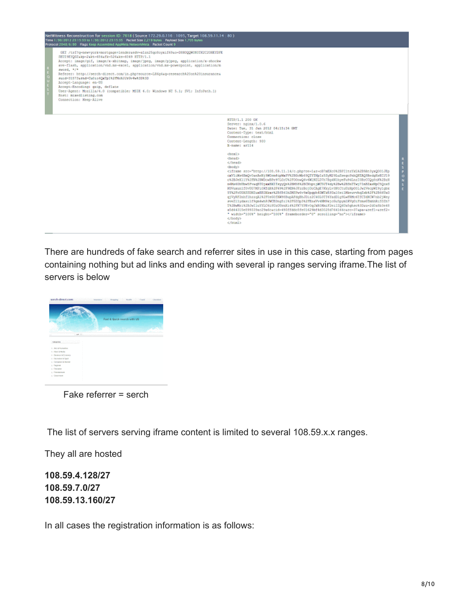

There are hundreds of fake search and referrer sites in use in this case, starting from pages containing nothing but ad links and ending with several ip ranges serving iframe.The list of servers is below



Fake referrer = serch

The list of servers serving iframe content is limited to several 108.59.x.x ranges.

They all are hosted

**108.59.4.128/27 108.59.7.0/27 108.59.13.160/27**

In all cases the registration information is as follows: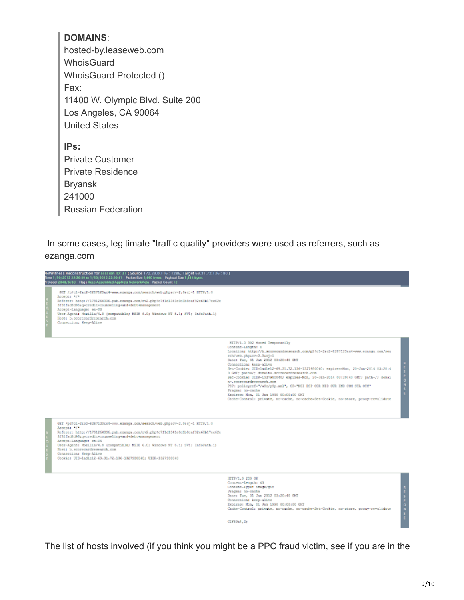### **DOMAINS**:

hosted-by.leaseweb.com **WhoisGuard** WhoisGuard Protected () Fax: 11400 W. Olympic Blvd. Suite 200 Los Angeles, CA 90064 United States

**IPs:** Private Customer Private Residence Bryansk 241000 Russian Federation

 In some cases, legitimate "traffic quality" providers were used as referrers, such as ezanga.com



GIFS9a!.Dr

The list of hosts involved (if you think you might be a PPC fraud victim, see if you are in the